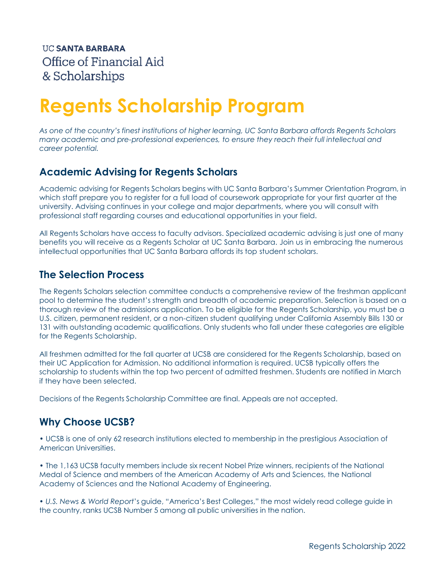# **Regents Scholarship Program**

*As one of the country's finest institutions of higher learning, UC Santa Barbara affords Regents Scholars many academic and pre-professional experiences, to ensure they reach their full intellectual and career potential.*

# **Academic Advising for Regents Scholars**

Academic advising for Regents Scholars begins with UC Santa Barbara's Summer Orientation Program, in which staff prepare you to register for a full load of coursework appropriate for your first quarter at the university. Advising continues in your college and major departments, where you will consult with professional staff regarding courses and educational opportunities in your field.

All Regents Scholars have access to faculty advisors. Specialized academic advising is just one of many benefits you will receive as a Regents Scholar at UC Santa Barbara. Join us in embracing the numerous intellectual opportunities that UC Santa Barbara affords its top student scholars.

## **The Selection Process**

The Regents Scholars selection committee conducts a comprehensive review of the freshman applicant pool to determine the student's strength and breadth of academic preparation. Selection is based on a thorough review of the admissions application. To be eligible for the Regents Scholarship, you must be a U.S. citizen, permanent resident, or a non-citizen student qualifying under California Assembly Bills 130 or 131 with outstanding academic qualifications. Only students who fall under these categories are eligible for the Regents Scholarship.

All freshmen admitted for the fall quarter at UCSB are considered for the Regents Scholarship, based on their UC Application for Admission. No additional information is required. UCSB typically offers the scholarship to students within the top two percent of admitted freshmen. Students are notified in March if they have been selected.

Decisions of the Regents Scholarship Committee are final. Appeals are not accepted.

# **Why Choose UCSB?**

• UCSB is one of only 62 research institutions elected to membership in the prestigious Association of American Universities.

• The 1,163 UCSB faculty members include six recent Nobel Prize winners, recipients of the National Medal of Science and members of the American Academy of Arts and Sciences, the National Academy of Sciences and the National Academy of Engineering.

• *U.S. News & World Report*'s guide, "America's Best Colleges," the most widely read college guide in the country, ranks UCSB Number 5 among all public universities in the nation.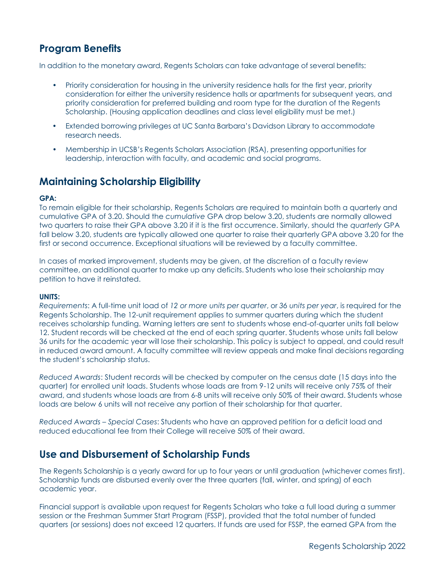# **Program Benefits**

In addition to the monetary award, Regents Scholars can take advantage of several benefits:

- Priority consideration for housing in the university residence halls for the first year, priority consideration for either the university residence halls or apartments for subsequent years, and priority consideration for preferred building and room type for the duration of the Regents Scholarship. (Housing application deadlines and class level eligibility must be met.)
- Extended borrowing privileges at UC Santa Barbara's Davidson Library to accommodate research needs.
- Membership in UCSB's Regents Scholars Association (RSA), presenting opportunities for leadership, interaction with faculty, and academic and social programs.

## **Maintaining Scholarship Eligibility**

#### **GPA:**

To remain eligible for their scholarship, Regents Scholars are required to maintain both a quarterly and cumulative GPA of 3.20. Should the *cumulative* GPA drop below 3.20, students are normally allowed two quarters to raise their GPA above 3.20 if it is the first occurrence. Similarly, should the *quarterly* GPA fall below 3.20, students are typically allowed one quarter to raise their quarterly GPA above 3.20 for the first or second occurrence. Exceptional situations will be reviewed by a faculty committee.

In cases of marked improvement, students may be given, at the discretion of a faculty review committee, an additional quarter to make up any deficits. Students who lose their scholarship may petition to have it reinstated.

#### **UNITS:**

*Requirements*: A full-time unit load of *12 or more units per quarter*, or *36 units per year*, is required for the Regents Scholarship. The 12-unit requirement applies to summer quarters during which the student receives scholarship funding. Warning letters are sent to students whose end-of-quarter units fall below 12. Student records will be checked at the end of each spring quarter. Students whose units fall below 36 units for the academic year will lose their scholarship. This policy is subject to appeal, and could result in reduced award amount. A faculty committee will review appeals and make final decisions regarding the student's scholarship status.

*Reduced Awards*: Student records will be checked by computer on the census date (15 days into the quarter) for enrolled unit loads. Students whose loads are from 9-12 units will receive only 75% of their award, and students whose loads are from 6-8 units will receive only 50% of their award. Students whose loads are below 6 units will not receive any portion of their scholarship for that quarter.

*Reduced Awards – Special Cases*: Students who have an approved petition for a deficit load and reduced educational fee from their College will receive 50% of their award.

## **Use and Disbursement of Scholarship Funds**

The Regents Scholarship is a yearly award for up to four years or until graduation (whichever comes first). Scholarship funds are disbursed evenly over the three quarters (fall, winter, and spring) of each academic year.

Financial support is available upon request for Regents Scholars who take a full load during a summer session or the Freshman Summer Start Program (FSSP), provided that the total number of funded quarters (or sessions) does not exceed 12 quarters. If funds are used for FSSP, the earned GPA from the